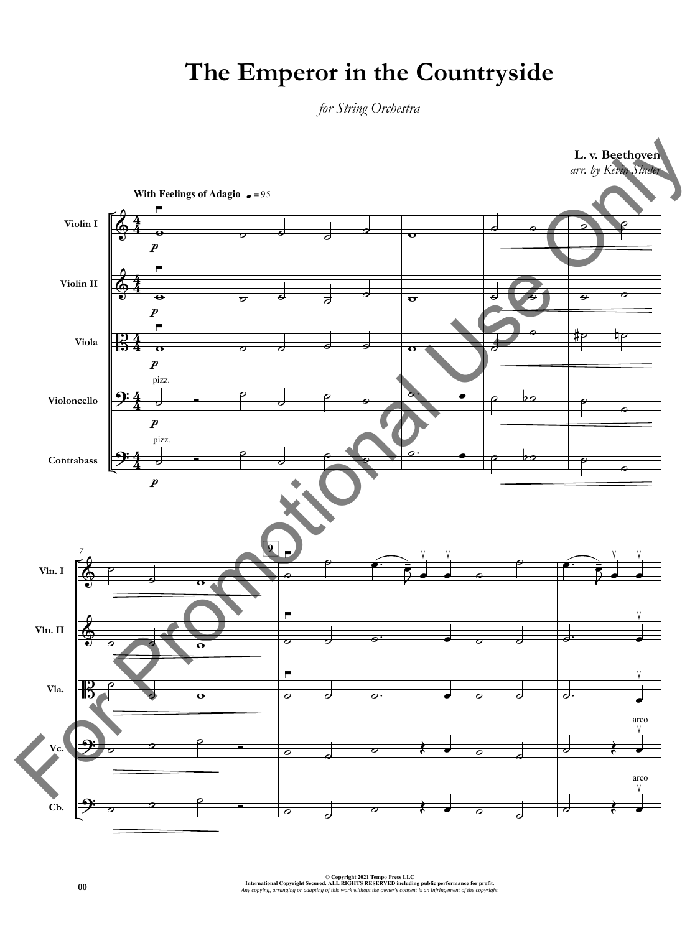## **The Emperor in the Countryside**

*for String Orchestra*

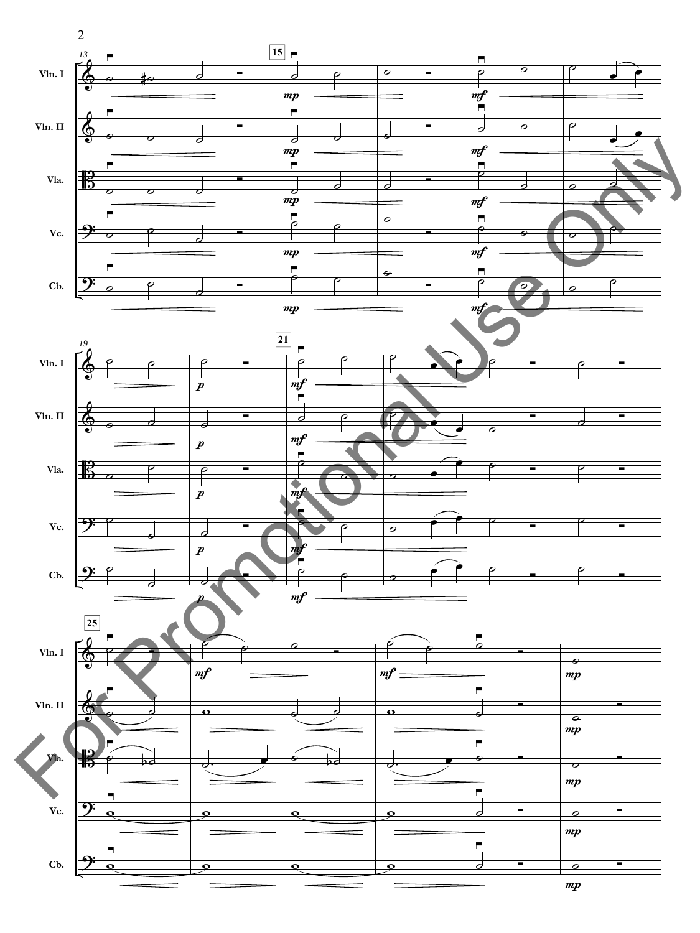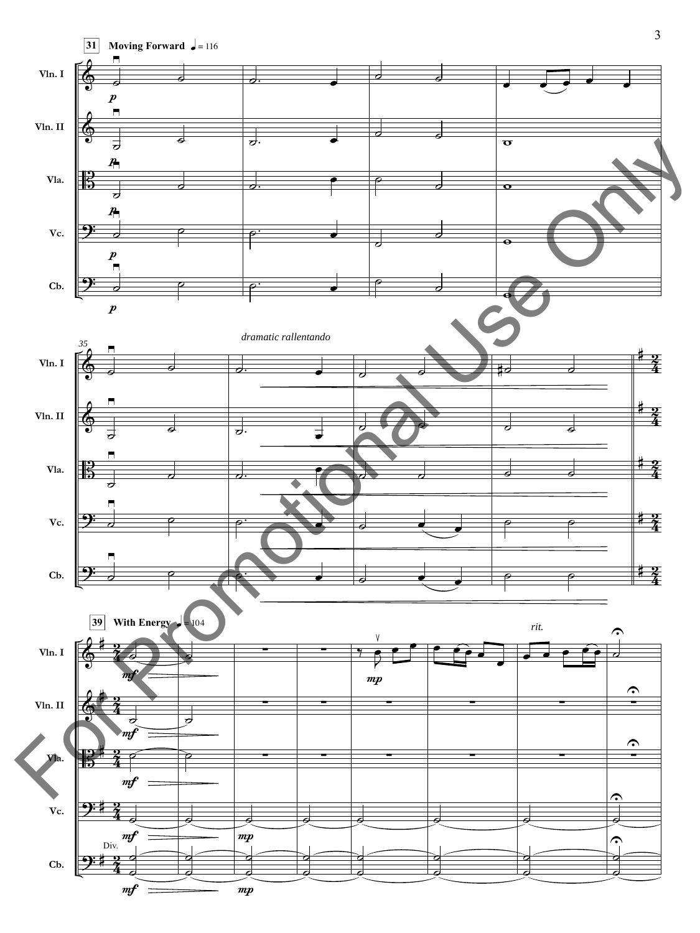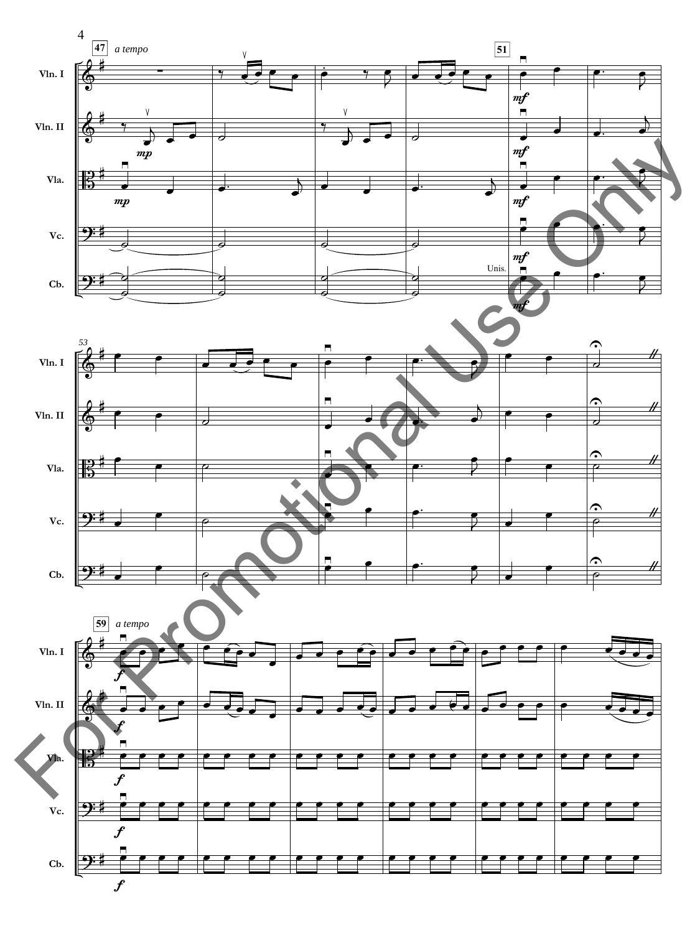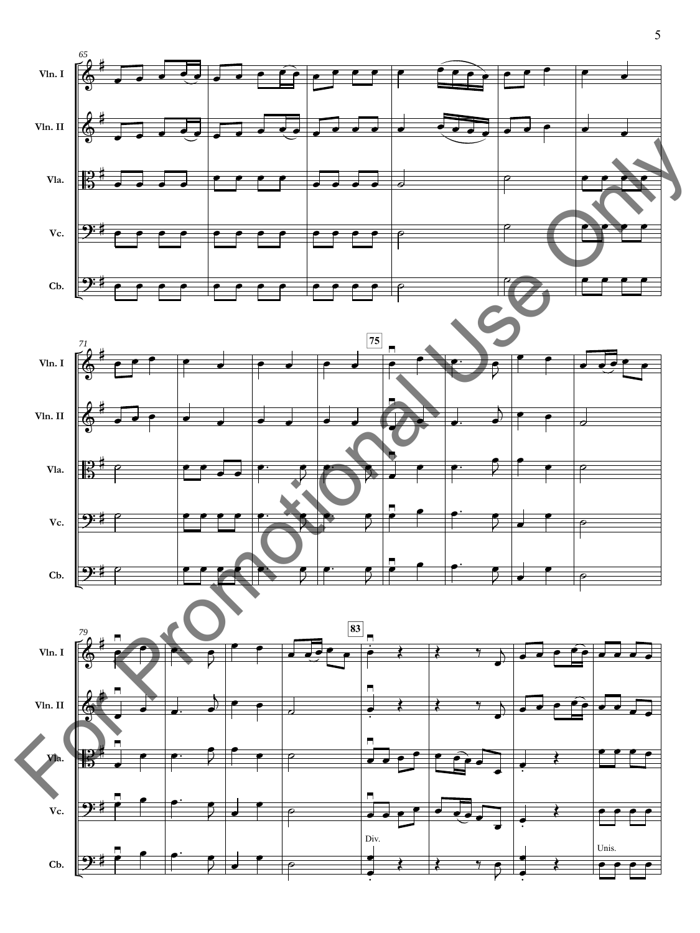